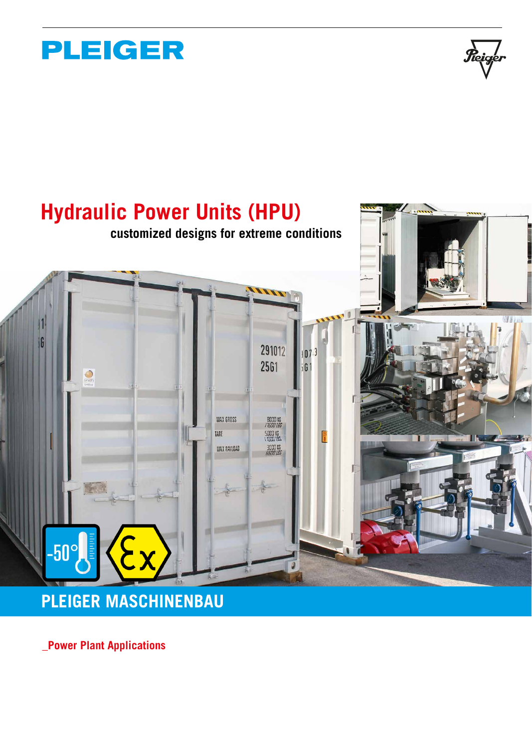## **PLEIGER**

Reiger



**PLEIGER MASCHINENBAU**

**\_Power Plant Applications**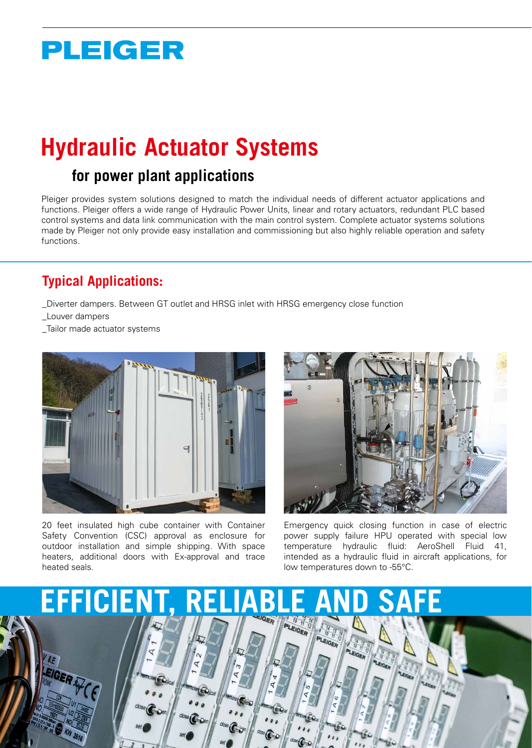# **PLEIGER**

# **Hydraulic Actuator Systems**

### **for power plant applications**

Pleiger provides system solutions designed to match the individual needs of different actuator applications and functions. Pleiger offers a wide range of Hydraulic Power Units, linear and rotary actuators, redundant PLC based control systems and data link communication with the main control system. Complete actuator systems solutions made by Pleiger not only provide easy installation and commissioning but also highly reliable operation and safety functions.

### **Typical Applications:**

- \_Diverter dampers. Between GT outlet and HRSG inlet with HRSG emergency close function
- \_Louver dampers
- \_Tailor made actuator systems



20 feet insulated high cube container with Container Safety Convention (CSC) approval as enclosure for outdoor installation and simple shipping. With space heaters, additional doors with Ex-approval and trace heated seals.



Emergency quick closing function in case of electric power supply failure HPU operated with special low temperature hydraulic fluid: AeroShell Fluid 41, intended as a hydraulic fluid in aircraft applications, for low temperatures down to -55°C.

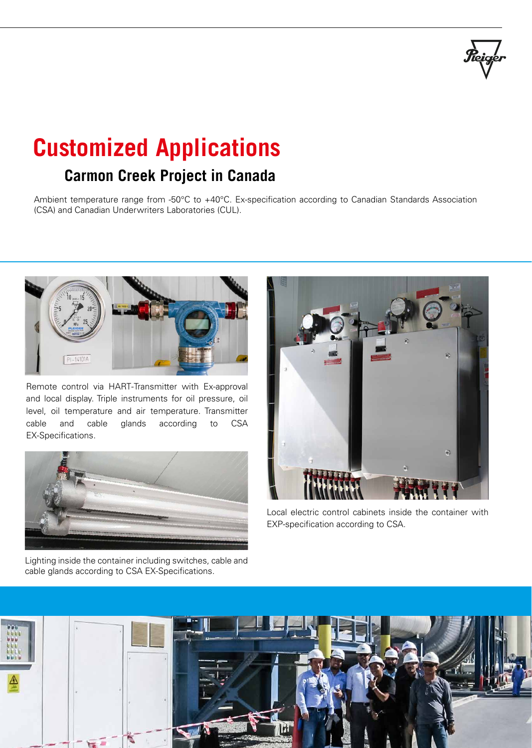## **Customized Applications**

### **Carmon Creek Project in Canada**

Ambient temperature range from -50°C to +40°C. Ex-specification according to Canadian Standards Association (CSA) and Canadian Underwriters Laboratories (CUL).



Remote control via HART-Transmitter with Ex-approval and local display. Triple instruments for oil pressure, oil level, oil temperature and air temperature. Transmitter cable and cable glands according to CSA EX-Specifications.



Lighting inside the container including switches, cable and cable glands according to CSA EX-Specifications.



Local electric control cabinets inside the container with EXP-specification according to CSA.